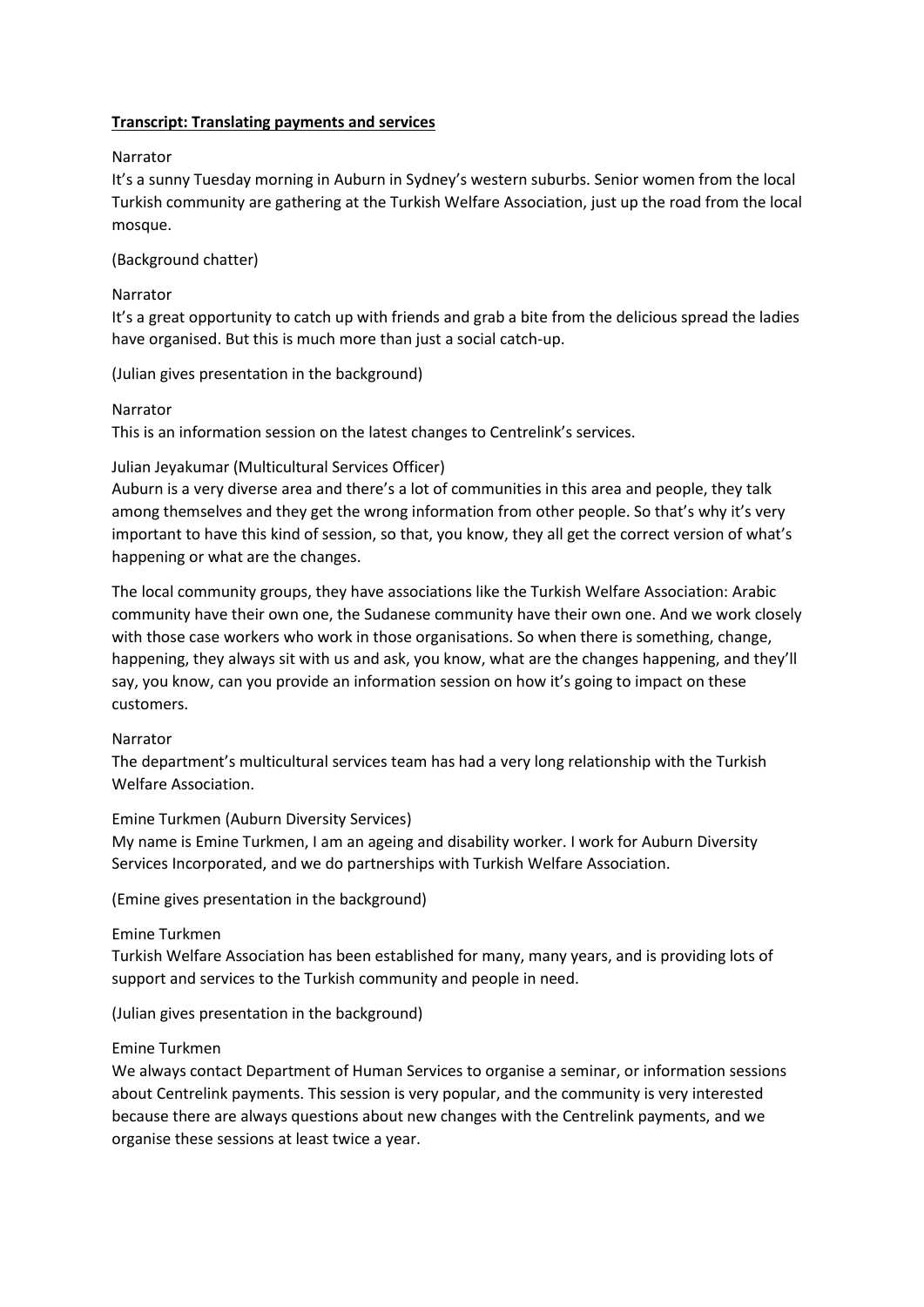# **Transcript: Translating payments and services**

## Narrator

It's a sunny Tuesday morning in Auburn in Sydney's western suburbs. Senior women from the local Turkish community are gathering at the Turkish Welfare Association, just up the road from the local mosque.

# (Background chatter)

## Narrator

It's a great opportunity to catch up with friends and grab a bite from the delicious spread the ladies have organised. But this is much more than just a social catch-up.

## (Julian gives presentation in the background)

## Narrator

This is an information session on the latest changes to Centrelink's services.

## Julian Jeyakumar (Multicultural Services Officer)

Auburn is a very diverse area and there's a lot of communities in this area and people, they talk among themselves and they get the wrong information from other people. So that's why it's very important to have this kind of session, so that, you know, they all get the correct version of what's happening or what are the changes.

The local community groups, they have associations like the Turkish Welfare Association: Arabic community have their own one, the Sudanese community have their own one. And we work closely with those case workers who work in those organisations. So when there is something, change, happening, they always sit with us and ask, you know, what are the changes happening, and they'll say, you know, can you provide an information session on how it's going to impact on these customers.

#### Narrator

The department's multicultural services team has had a very long relationship with the Turkish Welfare Association.

#### Emine Turkmen (Auburn Diversity Services)

My name is Emine Turkmen, I am an ageing and disability worker. I work for Auburn Diversity Services Incorporated, and we do partnerships with Turkish Welfare Association.

(Emine gives presentation in the background)

#### Emine Turkmen

Turkish Welfare Association has been established for many, many years, and is providing lots of support and services to the Turkish community and people in need.

(Julian gives presentation in the background)

#### Emine Turkmen

We always contact Department of Human Services to organise a seminar, or information sessions about Centrelink payments. This session is very popular, and the community is very interested because there are always questions about new changes with the Centrelink payments, and we organise these sessions at least twice a year.